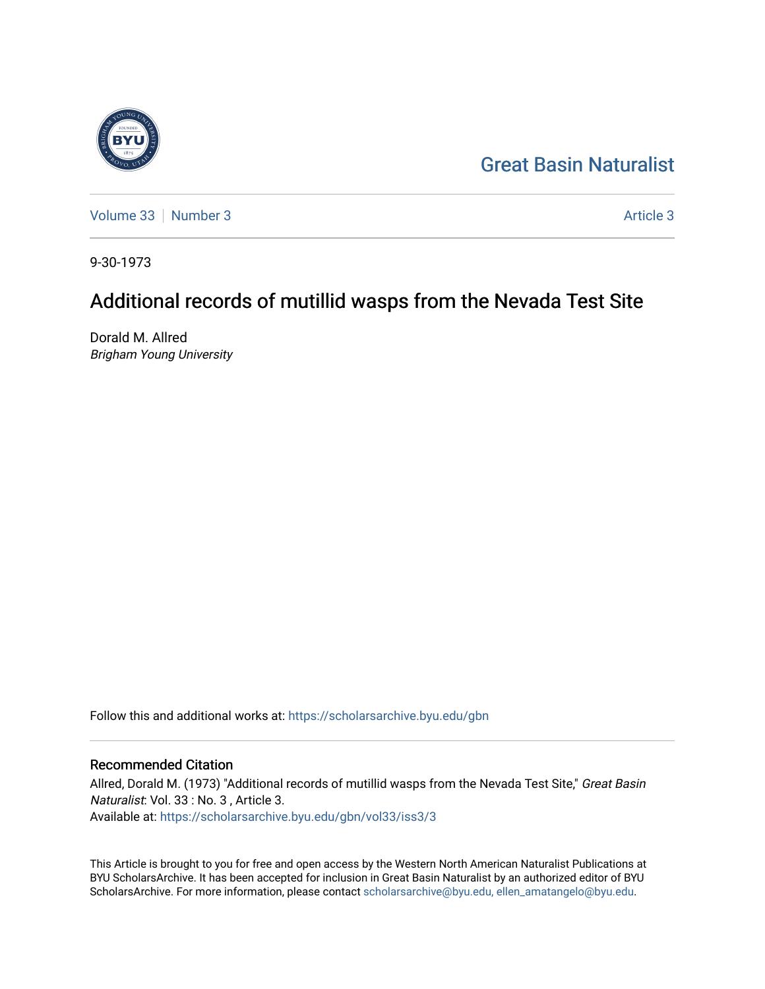# [Great Basin Naturalist](https://scholarsarchive.byu.edu/gbn)

[Volume 33](https://scholarsarchive.byu.edu/gbn/vol33) [Number 3](https://scholarsarchive.byu.edu/gbn/vol33/iss3) [Article 3](https://scholarsarchive.byu.edu/gbn/vol33/iss3/3) Article 3 Article 3 Article 3 Article 3 Article 3 Article 3 Article 3 Article 3 Article 3 Article 3 Article 3 Article 3 Article 3 Article 3 Article 3 Article 3 Article 3 Article 3 Article 3 Art

9-30-1973

# Additional records of mutillid wasps from the Nevada Test Site

Dorald M. Allred Brigham Young University

Follow this and additional works at: [https://scholarsarchive.byu.edu/gbn](https://scholarsarchive.byu.edu/gbn?utm_source=scholarsarchive.byu.edu%2Fgbn%2Fvol33%2Fiss3%2F3&utm_medium=PDF&utm_campaign=PDFCoverPages) 

# Recommended Citation

Allred, Dorald M. (1973) "Additional records of mutillid wasps from the Nevada Test Site," Great Basin Naturalist: Vol. 33 : No. 3 , Article 3. Available at: [https://scholarsarchive.byu.edu/gbn/vol33/iss3/3](https://scholarsarchive.byu.edu/gbn/vol33/iss3/3?utm_source=scholarsarchive.byu.edu%2Fgbn%2Fvol33%2Fiss3%2F3&utm_medium=PDF&utm_campaign=PDFCoverPages)

This Article is brought to you for free and open access by the Western North American Naturalist Publications at BYU ScholarsArchive. It has been accepted for inclusion in Great Basin Naturalist by an authorized editor of BYU ScholarsArchive. For more information, please contact [scholarsarchive@byu.edu, ellen\\_amatangelo@byu.edu.](mailto:scholarsarchive@byu.edu,%20ellen_amatangelo@byu.edu)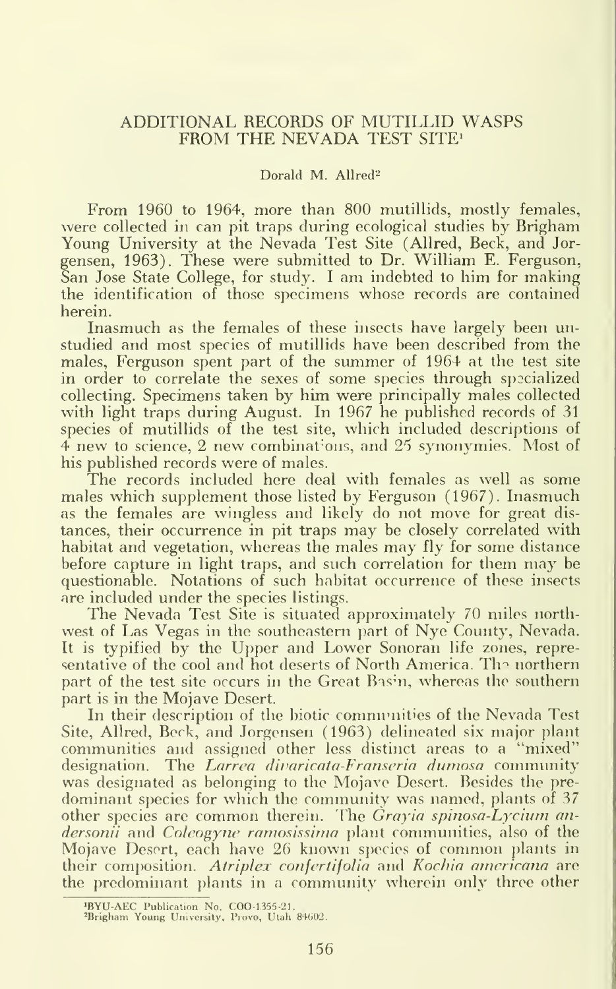## ADDITIONAL RECORDS OF MUTILLID WASPS FROM THE NEVADA TEST SITE<sup>1</sup>

#### Dorald M. Allred<sup>2</sup>

From 1960 to 1964, more than 800 mutillids, mostly females, were collected in can pit traps during ecological studies by Brigham Young University at the Nevada Test Site (Allred, Beck, and Jorgensen, 1963). These were submitted to Dr. William E. Ferguson, San Jose State College, for study. <sup>I</sup> am indebted to him for making the identification of those specimens whose records are contained herein.

Inasmuch as the females of these insects have largely been unstudied and most species of mutillids have been described from the males, Ferguson spent part of the summer of 1964 at the test site in order to correlate the sexes of some species through specialized collecting. Specimens taken by him were principally males collected with light traps during August. In 1967 he published records of 31 species of mutillids of the test site, which included descriptions of 4 new to science, 2 new combinations, and 25 synonymies. Most of his published records were of males.

The records included here deal with females as well as some males which supplement those listed by Ferguson (1967). Inasmuch as the females are wingless and likely do not move for great dis tances, their occurrence in pit traps may be closely correlated with habitat and vegetation, whereas the males may fly for some distance before capture in light traps, and such correlation for them may be questionable. Notations of such habitat occurrence of these insects are included under the species listings.

The Nevada Test Site is situated approximately 70 miles northwest of Las Vegas in the southeastern part of Nye County, Nevada. It is typified by the Upper and Lower Sonoran life zones, representative of the cool and hot deserts of North America. The northern part of the test site occurs in the Great Basin, whereas the southern part is in the Mojave Desert.

In their description of the biotic communities of the Nevada Test Site, Allred, Beck, and Jorgensen (1963) delineated six major plant communities and assigned other less distinct areas to a "mixed" designation. The Larrea divaricata-Franseria dumosa community was designated as belonging to the Mojave Desert. Besides the pre dominant species for which the community was named, plants of 37 other species are common therein. The *Grayia spinosa-Lycium an*dersonii and Coleogyne ramosissima plant communities, also of the Mojave Desert, each have 26 known species of common plants in their composition. Atriplex confertifolia and Kochia americana are the predominant plants in a conmiunity wherein only three other

iBYU-AEC Publication No. COO-1,355-21 \*Brigham Young University. Prove, Utah 84602.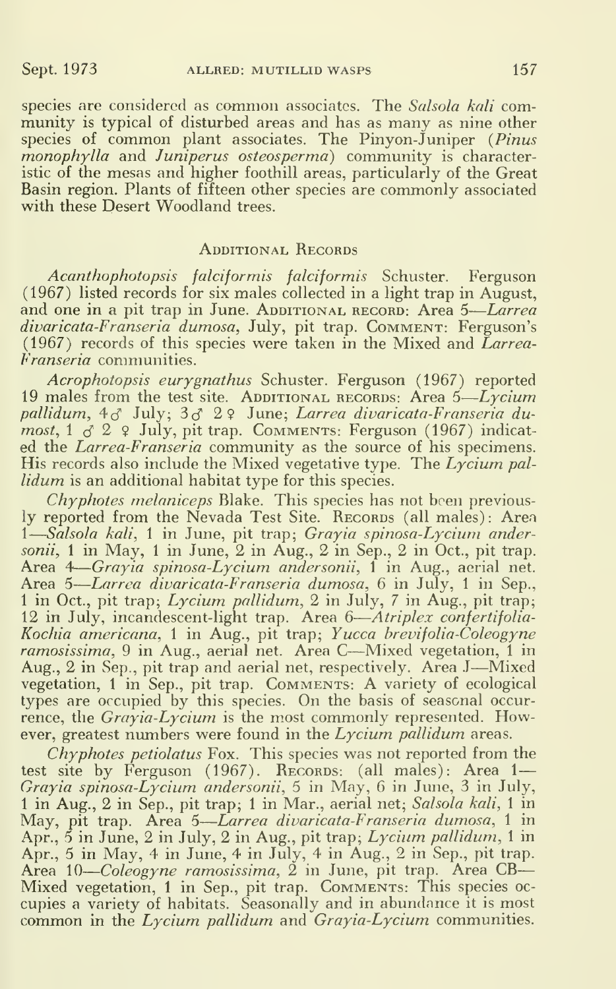species are considered as common associates. The Salsola kali community is typical of disturbed areas and has as many as nine other species of common plant associates. The Pinyon-Juniper (Pinus monophylla and Juniperus osteosperma) community is characteristic of the mesas and higher foothill areas, particularly of the Great Basin region. Plants of fifteen other species are commonly associated with these Desert Woodland trees.

### ADDITIONAL RECORDS

Acanthophotopsis falciformis falciformis Schuster. Ferguson (1967) listed records for six males collected in a light trap in August, and one in a pit trap in June. Additional record: Area 5—*Larrea* divaricata-Franseria dumosa, July, pit trap. Comment: Ferguson's  $(1967)$  records of this species were taken in the Mixed and Larrea-Franseria communities.

Acrophotopsis eurygnathus Schuster. Ferguson (1967) reported 19 males from the test site. ADDITIONAL RECORDS: Area 5— $Lycium$ pallidum, 4<sub>0</sub>° July; 3<sub>0</sub>° 2♀ June; *Larrea divaricata-Franseria du*most, 1  $\sigma$  2  $\,$  2 July, pit trap. Comments: Ferguson (1967) indicated the Larrea-Franseria community as the source of his specimens. His records also include the Mixed vegetative type. The  $L<sub>Y</sub>cium pal$ lidum is an additional habitat type for this species.

 $Chyphotes$  melaniceps Blake. This species has not been previously reported from the Nevada Test Site. RECORDS (all males): Area 1 Salsola kali, <sup>1</sup> in June, pit trap; Grayia spinosa-Lycium andersonii, 1 in May, 1 in June,  $2$  in Aug.,  $2$  in Sep.,  $2$  in Oct., pit trap. Area 4—*Grayia spinosa-Lycium andersonii*, 1 in Aug., aerial net. Area 5*—Larrea divaricata-Franseria dumosa*, 6 in July, 1 in Sep., <sup>1</sup> 1 in Oct., pit trap; *Lycium pallidum*, 2 in July, 7 in Aug., pit trap; 12 in July, incandescent-light trap. Area 6—*Atriplex confertifolia-*Kochia americana, <sup>1</sup> in Aug., pit trap; Yucca brevifolia-Coleogyne ramosissima, 9 in Aug., aerial net. Area C—Mixed vegetation, 1 in Aug., <sup>2</sup> in Sep., pit trap and aerial net, respectively. Area <sup>J</sup>—Mixed vegetation, 1 in Sep., pit trap. COMMENTS: A variety of ecological types are occupied by this species. On the basis of seasonal occurrence, the *Grayia-Lycium* is the most commonly represented. However, greatest numbers were found in the  $Lycium$  pallidum areas.

 $Chy$  photes petiolatus Fox. This species was not reported from the test site by Ferguson (1967). Recorps: (all males): Area 1— Grayia spinosa-Lycium andersonii, 5 in May, 6 in June, 3 in July, <sup>1</sup> in Aug., 2 in Sep., pit trap; <sup>1</sup> in Mar., aerial net; Salsola kali, <sup>1</sup> in May, pit trap. Area 5—*Larrea divaricata-Franseria dumosa,* 1 in ter Apr., 5 in June, 2 in July, 2 in Aug., pit trap; Lycium pallidum, <sup>1</sup> in Apr., 5 in May, 4 in June, 4 in July, 4 in Aug., 2 in Sep., pit trap. Area 10—*Coleogyne ramosissima*, 2 in June, pit trap. Area CB— Mixed vegetation, <sup>1</sup> in Sep., pit trap. Comments: This species oc cupies a variety of habitats. Seasonally and in abundance it is most  $\hspace{.1cm}$ common in the  $Lycium$  pallidum and  $Grayia-Lycium$  communities.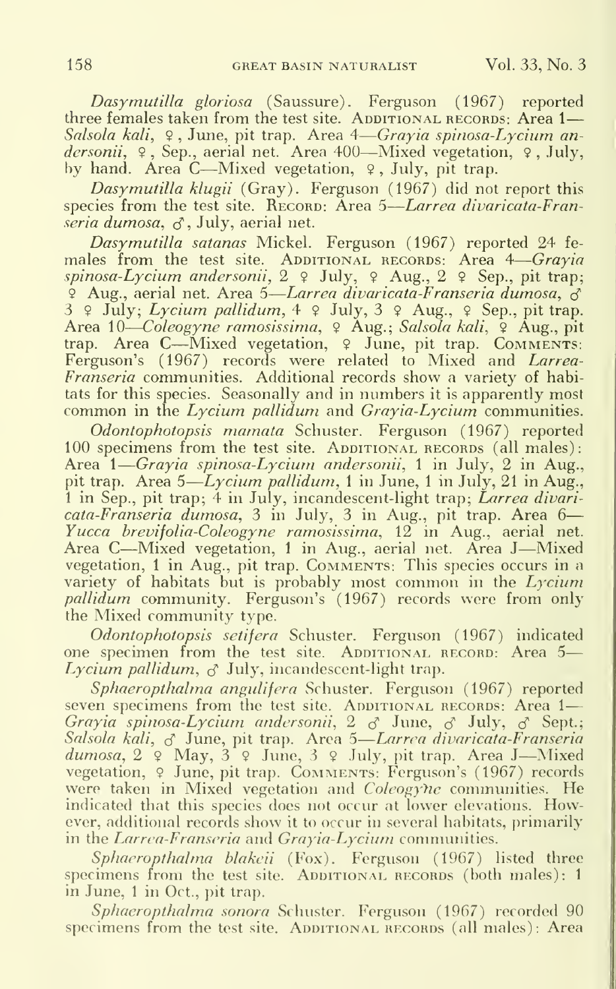Dasymutilla gloriosa (Saussure). Ferguson (1967) reported three females taken from the test site. ADDITIONAL RECORDS: Area 1— Salsola kali, ♀, June, pit trap. Area 4—Grayia spinosa-Lycium andersonii, 9, Sep., aerial net. Area 400—Mixed vegetation, 9, July, by hand. Area <sup>C</sup>—Mixed vegetation, <sup>9</sup> , July, pit trap.

Dasymutilla klugii (Gray). Ferguson (1967) did not report this species from the test site. RECORD: Area 5—*Larrea divaricata-Fran-* $\vec{r}$ seria dumosa,  $\vec{\sigma}$ , July, aerial net.

Dasymutilla satanas Mickel. Ferguson (1967) reported 24 fe males from the test site. ADDITIONAL RECORDS: Area 4—*Grayia* spinosa-Lycium andersonii,  $2 \notin \text{July}, \varphi \text{ Aug.}, 2 \varphi \text{ Sep.}, \text{pit trap};$ <sup>o</sup> Aug., aerial net. Area 5—*Larrea divaricata-Franseria dumosa*, ♂  $\frac{3}{9}$  9 July; *Lycium pallidum*,  $4 \frac{9}{9}$  July,  $3 \frac{9}{9}$  Aug.,  $9 \text{ Sep.}$  pit trap. Area 10—*Coleogyne ramosissima*, ♀ Aug.; *Salsola kali*, ♀ Aug., pit trap. Area C—Mixed vegetation, 9 June, pit trap. COMMENTS: Ferguson's (1967) records were related to Mixed and Larrea-Franseria communities. Additional records show a variety of habitats for this species. Seasonally and in numbers it is apparently most common in the Lycium pallidum and  $Gravia-Lvcium$  communities.

Odontophotopsis mamata Schuster. Ferguson (1967) reported 100 specimens from the test site. ADDITIONAL RECORDS (all males): Area 1—*Grayia spinosa-Lycium andersonii*, 1 in July, 2 in Aug., and pit trap. Area 5—*Lycium pallidum*, 1 in June, 1 in July, 21 in Aug.,  $\Box$ 1 in Sep., pit trap; 4 in July, incandescent-light trap; *Larrea divari*cata-Franseria dumosa, 3 in July, 3 in Aug., pit trap. Area 6— Yucca brevifolia-Coleogyne ramosissima, 12 in Aug., aerial net. Area <sup>C</sup>—Mixed vegetation, <sup>1</sup> in Aug., aerial net. Area <sup>J</sup>—Mixed vegetation, 1 in Aug., pit trap. Comments: This species occurs in a variety of habitats but is probably most common in the Lycium pallidum community. Ferguson's (1967) records were from only the Mixed community type.

Odontophotopsis setifera Schuster. Ferguson (1967) indicated one specimen from the test site. ADDITIONAL RECORD: Area 5-Lycium pallidum,  $\sigma$  July, incandescent-light trap.

Sphaeropthalma angulifera Schuster. Ferguson (1967) reported seven specimens from the test site. ADDITIONAL RECORDS: Area 1- $Grayia$  spinosa-Lycium andersonii, 2  $\sigma$  June,  $\sigma$  July,  $\sigma$  Sept.;  $\Box$ Salsola kali, <sub>S</sub>elune, pit trap. Area 5—*Larrea divaricata-Franseria* et **|** dumosa, 2 9 May, 3 9 June, 3 9 July, pit trap. Area J—Mixed vegetation, 9 June, pit trap. COMMENTS: Ferguson's (1967) records were taken in Mixed vegetation and Coleogyhe communities. He indicated that this species does not occur at lower elevations. However, additional records show it to occur in several habitats, primarily in the Larrea-Franseria and Grayia-Lycium communities.

Sphaeropthalma blakeii (Fox). Ferguson (1967) listed three specimens from the test site. ADDITIONAL RECORDS (both males): 1 in June, <sup>1</sup> in Oct., pit trap.

Sphaeropthalma sonora Schuster. Ferguson (1967) recorded 90 specimens from the test site. ADDITIONAL RECORDS (all males): Area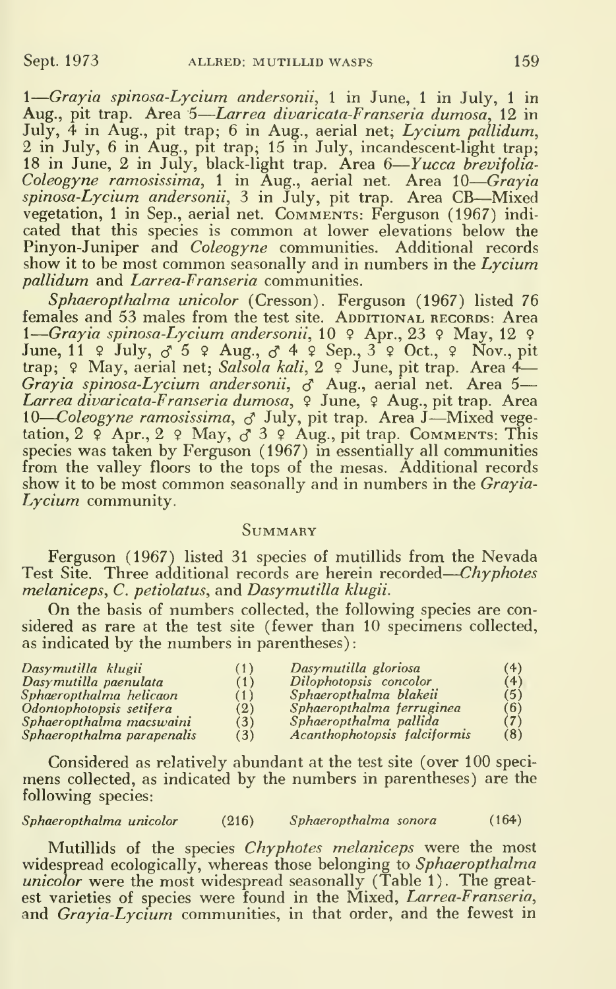1—Grayia spinosa-Lycium andersonii, 1 in June, 1 in July, 1 in Aug., pit trap. Area 5—Larrea divaricata-Franseria dumosa, 12 in Larrea divaricata-Franseria dumosa, 12 in July, 4 in Aug., pit trap; 6 in Aug., aerial net; Lycium pallidum, 2 in July, 6 in Aug., pit trap; 15 in July, incandescent-light trap; 18 in June, 2 in July, black-light trap. Area 6—*Yucca brevifolia-*Col*eogyne ramosissima,* 1 in Aug., aerial net. Area 10—*Grayia*<br>*spinosa-Lycium andersonii,* 3 in July, pit trap. Area CB—Mixed vegetation, <sup>1</sup> in Sep., aerial net. Comments: Ferguson (1967) indi cated that this species is common at lower elevations below the Pinyon-Juniper and *Coleogyne* communities. Additional records show it to be most common seasonally and in numbers in the Lycium pallidum and Larrea-Franseria communities.

Sphaeropthalma unicolor (Cresson). Ferguson (1967) listed 76 females and 53 males from the test site. ADDITIONAL RECORDS: Area 1—Grayia spinosa-Lycium andersonii, 10 ♀ Apr., 23 ♀ May, 12 ♀ June, 11  $\circ$  July,  $\circ$  5  $\circ$  Aug.,  $\circ$  4  $\circ$  Sep., 3  $\circ$  Oct.,  $\circ$  Nov., pit trap; ♀ May, aerial net; *Salsola kali*, 2 ♀ June, pit trap. Area 4— G*rayia spinosa-Lycium andersonii, <sub>S</sub>* Aug., aerial net. Area 5— L*arrea divaricata-Franseria dumosa*, ♀ June, ♀ Aug., pit trap. Area Larrea atouricata-rranseria atamosa, \* sune, \* Aug., pit trap. Area<br>10—Coleogyne ramosissima, & July, pit trap. Area J—Mixed vegetation, 2  $\varphi$  Apr., 2  $\varphi$  May,  $\sigma$  3  $\varphi$  Aug., pit trap. Comments: This species was taken by Ferguson (1967) in essentially all communities from the valley floors to the tops of the mesas. Additional records show it to be most common seasonally and in numbers in the  $Grayia\hbox{-}$ Lycium community.

### **SUMMARY**

Ferguson (1967) listed 31 species of mutillids from the Nevada Test Site. Three additional records are herein recorded—*Chyphotes* melaniceps, C. petiolatus, and Dasymutilla klugii.

On the basis of numbers collected, the following species are considered as rare at the test site (fewer than 10 specimens collected, as indicated by the numbers in parentheses)

| Dasymutilla klugii         | (1) | Dasymutilla gloriosa         | (4) |
|----------------------------|-----|------------------------------|-----|
| Dasymutilla paenulata      | (1) | Dilophotopsis concolor       | (4) |
| Sphaeropthalma helicaon    | (1) | Sphaeropthalma blakeii       | (5) |
| Odontophotopsis setifera   | (2) | Sphaeropthalma ferruginea    | (6) |
| Sphaeropthalma macswaini   | (3) | Sphaeropthalma pallida       | (7) |
| Sphaeropthalma parapenalis | (3) | Acanthophotopsis falciformis | (8) |

Considered as relatively abundant at the test site (over 100 speci mens collected, as indicated by the numbers in parentheses) are the following species:

Sphaeropthalma unicolor (216) Sphaeropthalma sonora (164)

Mutillids of the species Chyphotes melaniceps were the most widespread ecologically, whereas those belonging to Sphaeropthalma unicolor were the most widespread seasonally (Table 1). The greatest varieties of species were found in the Mixed, *Larrea-Franseria*, and *Grayia-Lycium* communities, in that order, and the fewest in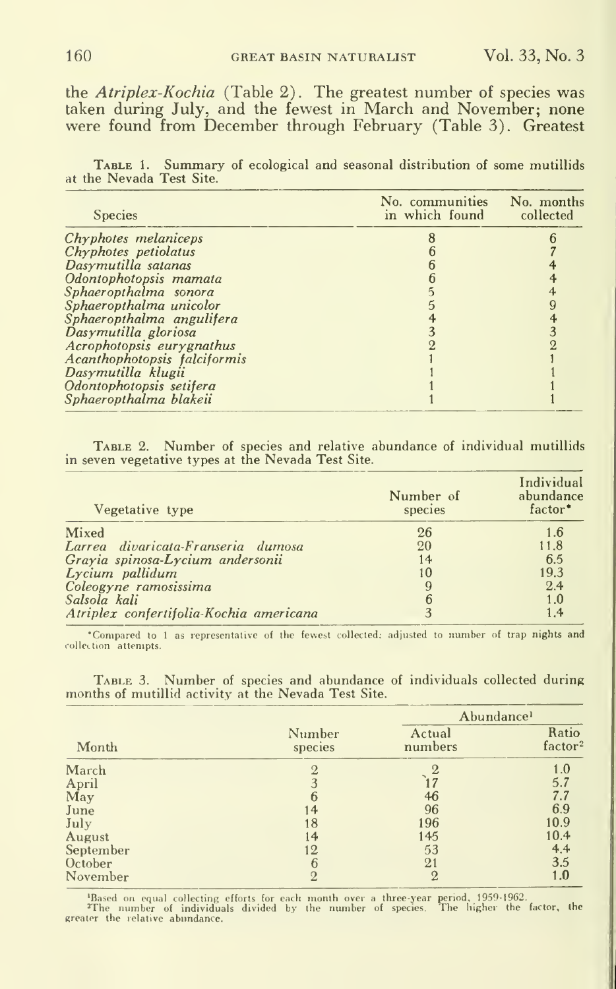the Atriplex-Kochia (Table 2). The greatest number of species was taken during July, and the fewest in March and November; none were found from December through February (Table 3). Greatest

TABLE 1. Summary of ecological and seasonal distribution of some mutillids at the Nevada Test Site.

| <b>Species</b>               | No. communities No. months<br>in which found collected |  |
|------------------------------|--------------------------------------------------------|--|
| Chyphotes melaniceps         |                                                        |  |
| Chyphotes petiolatus         |                                                        |  |
| Dasymutilla satanas          |                                                        |  |
| Odontophotopsis mamata       |                                                        |  |
| Sphaeropthalma sonora        |                                                        |  |
| Sphaeropthalma unicolor      |                                                        |  |
| Sphaeropthalma angulifera    |                                                        |  |
| Dasymutilla gloriosa         |                                                        |  |
| Acrophotopsis eury gnathus   |                                                        |  |
| Acanthophotopsis falciformis |                                                        |  |
| Dasymutilla klugii           |                                                        |  |
| Odontophotopsis setifera     |                                                        |  |
| Sphaeropthalma blakeii       |                                                        |  |

TABLE 2. Number of species and relative abundance of individual mutillids in seven vegetative types at the Nevada Test Site.

| Vegetative type                         | Number of<br>species | Individual<br>abundance<br>factor <sup>*</sup> |
|-----------------------------------------|----------------------|------------------------------------------------|
| Mixed                                   | 26                   | 1.6                                            |
| Larrea divaricata-Franseria dumosa      | 20                   | 11.8                                           |
| Grayia spinosa-Lycium andersonii        | 14                   | 6.5                                            |
| Lycium pallidum                         | 10                   | 19.3                                           |
| Coleogyne ramosissima                   | 9                    | 2.4                                            |
| Salsola kali                            | 6                    | 1.0                                            |
| Atriplex confertifolia-Kochia americana | 3                    | 1.4                                            |

\*Compared to 1 as representative of the fewest collected: adjusted to number of trap nights and collection attempts.

TABLE 3. Number of species and abundance of individuals collected during months of mutillid activity at the Nevada Test Site.

| Month     |                   | Abundance <sup>1</sup> |                              |
|-----------|-------------------|------------------------|------------------------------|
|           | Number<br>species | Actual<br>numbers      | Ratio<br>factor <sup>2</sup> |
| March     |                   |                        | 1.0                          |
| April     |                   |                        | 5.7                          |
| May       | 6                 | 46                     | 7.7                          |
| June      | 14                | 96                     | 6.9                          |
| July      | 18                | 196                    | 10.9                         |
| August    | 14                | 145                    | 10.4                         |
| September | 12                | 53                     | 4.4                          |
| October   | 6                 | 21                     | 3.5                          |
| November  |                   | $\overline{2}$         | 1.0                          |

Based on equal collecting efforts for each month over a three-year period, 1959-1962.<br>The number of individuals divided by the number of species. The higher the factor, the greater the relative abundance.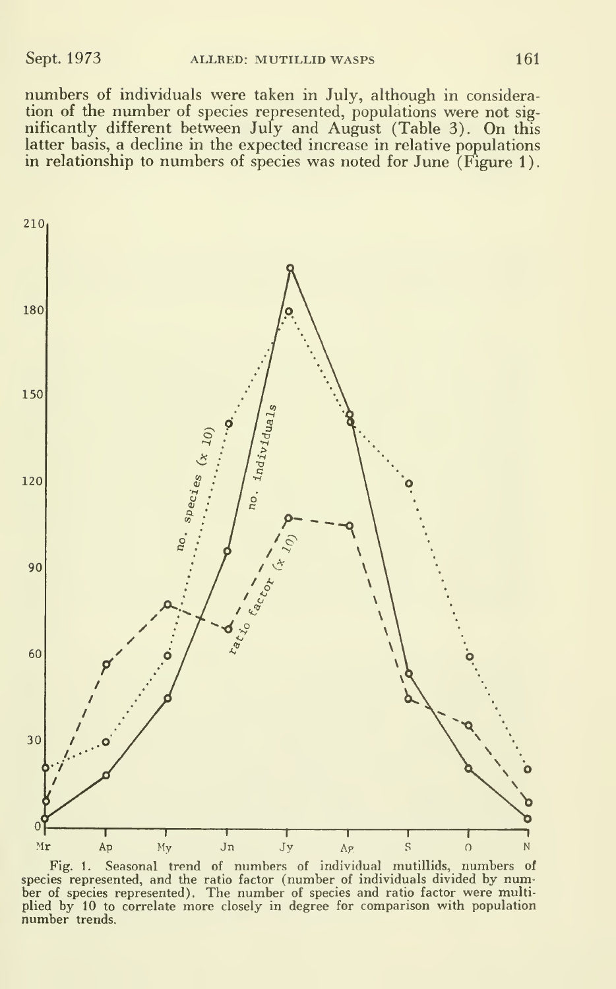numbers of individuals were taken in July, although in consideration of the number of species represented, populations were not significantly different between July and August (Table 3). On this latter basis, a decline in the expected increase in relative populations in relationship to numbers of species was noted for June (Figure 1).



Fig. 1. Seasonal trend of numbers of individual mutillids, numbers of species represented, and the ratio factor (number of individuals divided by number of species represented). The number of species and ratio factor were multiplied by 10 to correlate more closely in degree for comparison with population number trends.